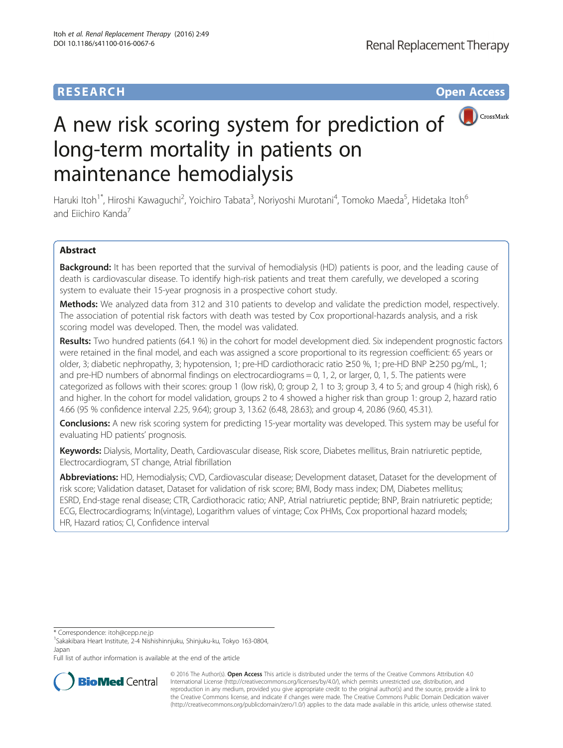## **RESEARCH CHE Open Access**



# A new risk scoring system for prediction of long-term mortality in patients on maintenance hemodialysis

Haruki Itoh<sup>1\*</sup>, Hiroshi Kawaguchi<sup>2</sup>, Yoichiro Tabata<sup>3</sup>, Noriyoshi Murotani<sup>4</sup>, Tomoko Maeda<sup>5</sup>, Hidetaka Itoh<sup>6</sup> and Fiichiro Kanda<sup>7</sup>

## Abstract

Background: It has been reported that the survival of hemodialysis (HD) patients is poor, and the leading cause of death is cardiovascular disease. To identify high-risk patients and treat them carefully, we developed a scoring system to evaluate their 15-year prognosis in a prospective cohort study.

Methods: We analyzed data from 312 and 310 patients to develop and validate the prediction model, respectively. The association of potential risk factors with death was tested by Cox proportional-hazards analysis, and a risk scoring model was developed. Then, the model was validated.

Results: Two hundred patients (64.1 %) in the cohort for model development died. Six independent prognostic factors were retained in the final model, and each was assigned a score proportional to its regression coefficient: 65 years or older, 3; diabetic nephropathy, 3; hypotension, 1; pre-HD cardiothoracic ratio ≥50 %, 1; pre-HD BNP ≥250 pg/mL, 1; and pre-HD numbers of abnormal findings on electrocardiograms = 0, 1, 2, or larger, 0, 1, 5. The patients were categorized as follows with their scores: group 1 (low risk), 0; group 2, 1 to 3; group 3, 4 to 5; and group 4 (high risk), 6 and higher. In the cohort for model validation, groups 2 to 4 showed a higher risk than group 1: group 2, hazard ratio 4.66 (95 % confidence interval 2.25, 9.64); group 3, 13.62 (6.48, 28.63); and group 4, 20.86 (9.60, 45.31).

**Conclusions:** A new risk scoring system for predicting 15-year mortality was developed. This system may be useful for evaluating HD patients' prognosis.

Keywords: Dialysis, Mortality, Death, Cardiovascular disease, Risk score, Diabetes mellitus, Brain natriuretic peptide, Electrocardiogram, ST change, Atrial fibrillation

Abbreviations: HD, Hemodialysis; CVD, Cardiovascular disease; Development dataset, Dataset for the development of risk score; Validation dataset, Dataset for validation of risk score; BMI, Body mass index; DM, Diabetes mellitus; ESRD, End-stage renal disease; CTR, Cardiothoracic ratio; ANP, Atrial natriuretic peptide; BNP, Brain natriuretic peptide; ECG, Electrocardiograms; ln(vintage), Logarithm values of vintage; Cox PHMs, Cox proportional hazard models; HR, Hazard ratios; CI, Confidence interval

\* Correspondence: [itoh@cepp.ne.jp](mailto:itoh@cepp.ne.jp) <sup>1</sup>

Full list of author information is available at the end of the article



© 2016 The Author(s). Open Access This article is distributed under the terms of the Creative Commons Attribution 4.0 International License [\(http://creativecommons.org/licenses/by/4.0/](http://creativecommons.org/licenses/by/4.0/)), which permits unrestricted use, distribution, and reproduction in any medium, provided you give appropriate credit to the original author(s) and the source, provide a link to the Creative Commons license, and indicate if changes were made. The Creative Commons Public Domain Dedication waiver [\(http://creativecommons.org/publicdomain/zero/1.0/](http://creativecommons.org/publicdomain/zero/1.0/)) applies to the data made available in this article, unless otherwise stated.

Sakakibara Heart Institute, 2-4 Nishishinnjuku, Shinjuku-ku, Tokyo 163-0804, Japan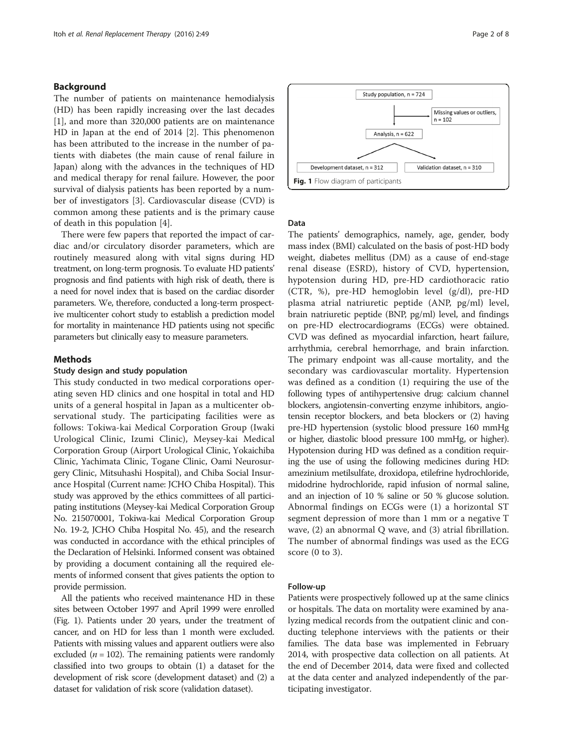#### <span id="page-1-0"></span>Background

The number of patients on maintenance hemodialysis (HD) has been rapidly increasing over the last decades [[1\]](#page-7-0), and more than 320,000 patients are on maintenance HD in Japan at the end of 2014 [\[2](#page-7-0)]. This phenomenon has been attributed to the increase in the number of patients with diabetes (the main cause of renal failure in Japan) along with the advances in the techniques of HD and medical therapy for renal failure. However, the poor survival of dialysis patients has been reported by a number of investigators [\[3\]](#page-7-0). Cardiovascular disease (CVD) is common among these patients and is the primary cause of death in this population [[4\]](#page-7-0).

There were few papers that reported the impact of cardiac and/or circulatory disorder parameters, which are routinely measured along with vital signs during HD treatment, on long-term prognosis. To evaluate HD patients' prognosis and find patients with high risk of death, there is a need for novel index that is based on the cardiac disorder parameters. We, therefore, conducted a long-term prospective multicenter cohort study to establish a prediction model for mortality in maintenance HD patients using not specific parameters but clinically easy to measure parameters.

#### Methods

#### Study design and study population

This study conducted in two medical corporations operating seven HD clinics and one hospital in total and HD units of a general hospital in Japan as a multicenter observational study. The participating facilities were as follows: Tokiwa-kai Medical Corporation Group (Iwaki Urological Clinic, Izumi Clinic), Meysey-kai Medical Corporation Group (Airport Urological Clinic, Yokaichiba Clinic, Yachimata Clinic, Togane Clinic, Oami Neurosurgery Clinic, Mitsuhashi Hospital), and Chiba Social Insurance Hospital (Current name: JCHO Chiba Hospital). This study was approved by the ethics committees of all participating institutions (Meysey-kai Medical Corporation Group No. 215070001, Tokiwa-kai Medical Corporation Group No. 19-2, JCHO Chiba Hospital No. 45), and the research was conducted in accordance with the ethical principles of the Declaration of Helsinki. Informed consent was obtained by providing a document containing all the required elements of informed consent that gives patients the option to provide permission.

All the patients who received maintenance HD in these sites between October 1997 and April 1999 were enrolled (Fig. 1). Patients under 20 years, under the treatment of cancer, and on HD for less than 1 month were excluded. Patients with missing values and apparent outliers were also excluded ( $n = 102$ ). The remaining patients were randomly classified into two groups to obtain (1) a dataset for the development of risk score (development dataset) and (2) a dataset for validation of risk score (validation dataset).



Data

The patients' demographics, namely, age, gender, body mass index (BMI) calculated on the basis of post-HD body weight, diabetes mellitus (DM) as a cause of end-stage renal disease (ESRD), history of CVD, hypertension, hypotension during HD, pre-HD cardiothoracic ratio (CTR, %), pre-HD hemoglobin level (g/dl), pre-HD plasma atrial natriuretic peptide (ANP, pg/ml) level, brain natriuretic peptide (BNP, pg/ml) level, and findings on pre-HD electrocardiograms (ECGs) were obtained. CVD was defined as myocardial infarction, heart failure, arrhythmia, cerebral hemorrhage, and brain infarction. The primary endpoint was all-cause mortality, and the secondary was cardiovascular mortality. Hypertension was defined as a condition (1) requiring the use of the following types of antihypertensive drug: calcium channel blockers, angiotensin-converting enzyme inhibitors, angiotensin receptor blockers, and beta blockers or (2) having pre-HD hypertension (systolic blood pressure 160 mmHg or higher, diastolic blood pressure 100 mmHg, or higher). Hypotension during HD was defined as a condition requiring the use of using the following medicines during HD: amezinium metilsulfate, droxidopa, etilefrine hydrochloride, midodrine hydrochloride, rapid infusion of normal saline, and an injection of 10 % saline or 50 % glucose solution. Abnormal findings on ECGs were (1) a horizontal ST segment depression of more than 1 mm or a negative T wave, (2) an abnormal Q wave, and (3) atrial fibrillation. The number of abnormal findings was used as the ECG score (0 to 3).

#### Follow-up

Patients were prospectively followed up at the same clinics or hospitals. The data on mortality were examined by analyzing medical records from the outpatient clinic and conducting telephone interviews with the patients or their families. The data base was implemented in February 2014, with prospective data collection on all patients. At the end of December 2014, data were fixed and collected at the data center and analyzed independently of the participating investigator.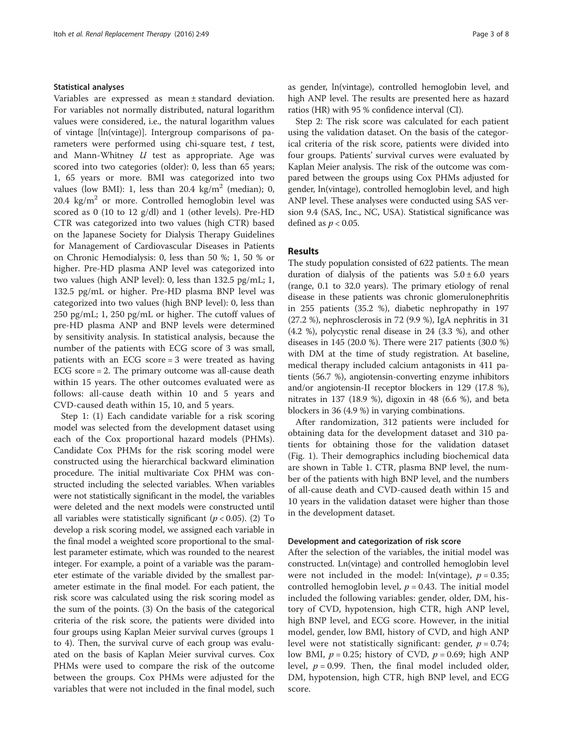#### Statistical analyses

Variables are expressed as mean ± standard deviation. For variables not normally distributed, natural logarithm values were considered, i.e., the natural logarithm values of vintage [ln(vintage)]. Intergroup comparisons of parameters were performed using chi-square test, t test, and Mann-Whitney  $U$  test as appropriate. Age was scored into two categories (older): 0, less than 65 years; 1, 65 years or more. BMI was categorized into two values (low BMI): 1, less than  $20.4 \text{ kg/m}^2$  (median); 0,  $20.4 \text{ kg/m}^2$  or more. Controlled hemoglobin level was scored as 0 (10 to 12 g/dl) and 1 (other levels). Pre-HD CTR was categorized into two values (high CTR) based on the Japanese Society for Dialysis Therapy Guidelines for Management of Cardiovascular Diseases in Patients on Chronic Hemodialysis: 0, less than 50 %; 1, 50 % or higher. Pre-HD plasma ANP level was categorized into two values (high ANP level): 0, less than 132.5 pg/mL; 1, 132.5 pg/mL or higher. Pre-HD plasma BNP level was categorized into two values (high BNP level): 0, less than 250 pg/mL; 1, 250 pg/mL or higher. The cutoff values of pre-HD plasma ANP and BNP levels were determined by sensitivity analysis. In statistical analysis, because the number of the patients with ECG score of 3 was small, patients with an ECG score = 3 were treated as having ECG score = 2. The primary outcome was all-cause death within 15 years. The other outcomes evaluated were as follows: all-cause death within 10 and 5 years and CVD-caused death within 15, 10, and 5 years.

Step 1: (1) Each candidate variable for a risk scoring model was selected from the development dataset using each of the Cox proportional hazard models (PHMs). Candidate Cox PHMs for the risk scoring model were constructed using the hierarchical backward elimination procedure. The initial multivariate Cox PHM was constructed including the selected variables. When variables were not statistically significant in the model, the variables were deleted and the next models were constructed until all variables were statistically significant ( $p < 0.05$ ). (2) To develop a risk scoring model, we assigned each variable in the final model a weighted score proportional to the smallest parameter estimate, which was rounded to the nearest integer. For example, a point of a variable was the parameter estimate of the variable divided by the smallest parameter estimate in the final model. For each patient, the risk score was calculated using the risk scoring model as the sum of the points. (3) On the basis of the categorical criteria of the risk score, the patients were divided into four groups using Kaplan Meier survival curves (groups 1 to 4). Then, the survival curve of each group was evaluated on the basis of Kaplan Meier survival curves. Cox PHMs were used to compare the risk of the outcome between the groups. Cox PHMs were adjusted for the variables that were not included in the final model, such as gender, ln(vintage), controlled hemoglobin level, and high ANP level. The results are presented here as hazard ratios (HR) with 95 % confidence interval (CI).

Step 2: The risk score was calculated for each patient using the validation dataset. On the basis of the categorical criteria of the risk score, patients were divided into four groups. Patients' survival curves were evaluated by Kaplan Meier analysis. The risk of the outcome was compared between the groups using Cox PHMs adjusted for gender, ln(vintage), controlled hemoglobin level, and high ANP level. These analyses were conducted using SAS version 9.4 (SAS, Inc., NC, USA). Statistical significance was defined as  $p < 0.05$ .

#### Results

The study population consisted of 622 patients. The mean duration of dialysis of the patients was  $5.0 \pm 6.0$  years (range, 0.1 to 32.0 years). The primary etiology of renal disease in these patients was chronic glomerulonephritis in 255 patients (35.2 %), diabetic nephropathy in 197 (27.2 %), nephrosclerosis in 72 (9.9 %), IgA nephritis in 31 (4.2 %), polycystic renal disease in 24 (3.3 %), and other diseases in 145 (20.0 %). There were 217 patients (30.0 %) with DM at the time of study registration. At baseline, medical therapy included calcium antagonists in 411 patients (56.7 %), angiotensin-converting enzyme inhibitors and/or angiotensin-II receptor blockers in 129 (17.8 %), nitrates in 137 (18.9 %), digoxin in 48 (6.6 %), and beta blockers in 36 (4.9 %) in varying combinations.

After randomization, 312 patients were included for obtaining data for the development dataset and 310 patients for obtaining those for the validation dataset (Fig. [1](#page-1-0)). Their demographics including biochemical data are shown in Table [1.](#page-3-0) CTR, plasma BNP level, the number of the patients with high BNP level, and the numbers of all-cause death and CVD-caused death within 15 and 10 years in the validation dataset were higher than those in the development dataset.

#### Development and categorization of risk score

After the selection of the variables, the initial model was constructed. Ln(vintage) and controlled hemoglobin level were not included in the model: ln(vintage),  $p = 0.35$ ; controlled hemoglobin level,  $p = 0.43$ . The initial model included the following variables: gender, older, DM, history of CVD, hypotension, high CTR, high ANP level, high BNP level, and ECG score. However, in the initial model, gender, low BMI, history of CVD, and high ANP level were not statistically significant: gender,  $p = 0.74$ ; low BMI,  $p = 0.25$ ; history of CVD,  $p = 0.69$ ; high ANP level,  $p = 0.99$ . Then, the final model included older, DM, hypotension, high CTR, high BNP level, and ECG score.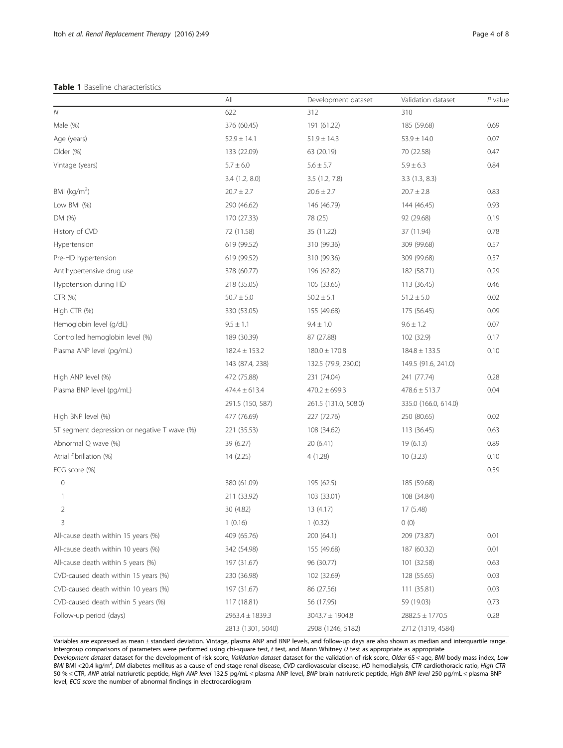#### <span id="page-3-0"></span>Table 1 Baseline characteristics

|                                              | All                 | Development dataset  | Validation dataset   | $P$ value |
|----------------------------------------------|---------------------|----------------------|----------------------|-----------|
| $\mathcal N$                                 | 622                 | 312                  | 310                  |           |
| Male (%)                                     | 376 (60.45)         | 191 (61.22)          | 185 (59.68)          | 0.69      |
| Age (years)                                  | $52.9 \pm 14.1$     | $51.9 \pm 14.3$      | $53.9 \pm 14.0$      | 0.07      |
| Older (%)                                    | 133 (22.09)         | 63 (20.19)           | 70 (22.58)           | 0.47      |
| Vintage (years)                              | $5.7 \pm 6.0$       | $5.6 \pm 5.7$        | $5.9 \pm 6.3$        | 0.84      |
|                                              | 3.4(1.2, 8.0)       | 3.5(1.2, 7.8)        | 3.3(1.3, 8.3)        |           |
| BMI ( $\text{kg/m}^2$ )                      | $20.7 \pm 2.7$      | $20.6 \pm 2.7$       | $20.7 \pm 2.8$       | 0.83      |
| Low BMI (%)                                  | 290 (46.62)         | 146 (46.79)          | 144 (46.45)          | 0.93      |
| DM (%)                                       | 170 (27.33)         | 78 (25)              | 92 (29.68)           | 0.19      |
| History of CVD                               | 72 (11.58)          | 35 (11.22)           | 37 (11.94)           | 0.78      |
| Hypertension                                 | 619 (99.52)         | 310 (99.36)          | 309 (99.68)          | 0.57      |
| Pre-HD hypertension                          | 619 (99.52)         | 310 (99.36)          | 309 (99.68)          | 0.57      |
| Antihypertensive drug use                    | 378 (60.77)         | 196 (62.82)          | 182 (58.71)          | 0.29      |
| Hypotension during HD                        | 218 (35.05)         | 105 (33.65)          | 113 (36.45)          | 0.46      |
| CTR (%)                                      | $50.7 \pm 5.0$      | $50.2 \pm 5.1$       | $51.2 \pm 5.0$       | 0.02      |
| High CTR (%)                                 | 330 (53.05)         | 155 (49.68)          | 175 (56.45)          | 0.09      |
| Hemoglobin level (g/dL)                      | $9.5 \pm 1.1$       | $9.4 \pm 1.0$        | $9.6 \pm 1.2$        | 0.07      |
| Controlled hemoglobin level (%)              | 189 (30.39)         | 87 (27.88)           | 102 (32.9)           | 0.17      |
| Plasma ANP level (pg/mL)                     | $182.4 \pm 153.2$   | $180.0 \pm 170.8$    | $184.8 \pm 133.5$    | 0.10      |
|                                              | 143 (87.4, 238)     | 132.5 (79.9, 230.0)  | 149.5 (91.6, 241.0)  |           |
| High ANP level (%)                           | 472 (75.88)         | 231 (74.04)          | 241 (77.74)          | 0.28      |
| Plasma BNP level (pg/mL)                     | $474.4 \pm 613.4$   | $470.2 \pm 699.3$    | $478.6 \pm 513.7$    | 0.04      |
|                                              | 291.5 (150, 587)    | 261.5 (131.0, 508.0) | 335.0 (166.0, 614.0) |           |
| High BNP level (%)                           | 477 (76.69)         | 227 (72.76)          | 250 (80.65)          | 0.02      |
| ST segment depression or negative T wave (%) | 221 (35.53)         | 108 (34.62)          | 113 (36.45)          | 0.63      |
| Abnormal Q wave (%)                          | 39 (6.27)           | 20 (6.41)            | 19(6.13)             | 0.89      |
| Atrial fibrillation (%)                      | 14 (2.25)           | 4(1.28)              | 10(3.23)             | 0.10      |
| ECG score (%)                                |                     |                      |                      | 0.59      |
| $\mathbf 0$                                  | 380 (61.09)         | 195 (62.5)           | 185 (59.68)          |           |
| 1                                            | 211 (33.92)         | 103 (33.01)          | 108 (34.84)          |           |
| $\overline{2}$                               | 30 (4.82)           | 13 (4.17)            | 17 (5.48)            |           |
| 3                                            | 1(0.16)             | 1(0.32)              | 0(0)                 |           |
| All-cause death within 15 years (%)          | 409 (65.76)         | 200 (64.1)           | 209 (73.87)          | 0.01      |
| All-cause death within 10 years (%)          | 342 (54.98)         | 155 (49.68)          | 187 (60.32)          | 0.01      |
| All-cause death within 5 years (%)           | 197 (31.67)         | 96 (30.77)           | 101 (32.58)          | 0.63      |
| CVD-caused death within 15 years (%)         | 230 (36.98)         | 102 (32.69)          | 128 (55.65)          | 0.03      |
| CVD-caused death within 10 years (%)         | 197 (31.67)         | 86 (27.56)           | 111 (35.81)          | 0.03      |
| CVD-caused death within 5 years (%)          | 117 (18.81)         | 56 (17.95)           | 59 (19.03)           | 0.73      |
| Follow-up period (days)                      | $2963.4 \pm 1839.3$ | 3043.7 ± 1904.8      | $2882.5 \pm 1770.5$  | 0.28      |
|                                              | 2813 (1301, 5040)   | 2908 (1246, 5182)    | 2712 (1319, 4584)    |           |

Variables are expressed as mean ± standard deviation. Vintage, plasma ANP and BNP levels, and follow-up days are also shown as median and interquartile range. Intergroup comparisons of parameters were performed using chi-square test, t test, and Mann Whitney U test as appropriate as appropriate

Development dataset dataset for the development of risk score, Validation dataset dataset for the validation of risk score, Older 65 ≤ age, BMI body mass index, Low BMI BMI <20.4 kg/m<sup>2</sup>, DM diabetes mellitus as a cause of end-stage renal disease, CVD cardiovascular disease, HD hemodialysis, CTR cardiothoracic ratio, High CTR 50 % ≤ CTR, ANP atrial natriuretic peptide, High ANP level 132.5 pg/mL ≤ plasma ANP level, BNP brain natriuretic peptide, High BNP level 250 pg/mL ≤ plasma BNP level, ECG score the number of abnormal findings in electrocardiogram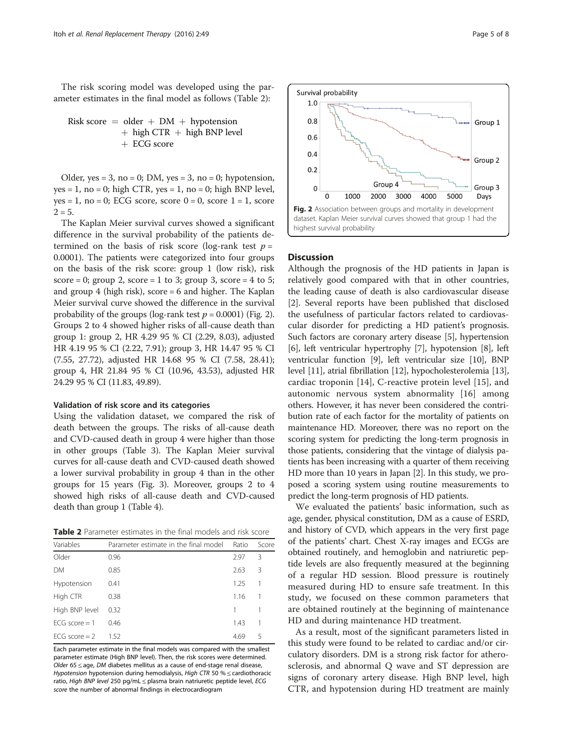The risk scoring model was developed using the parameter estimates in the final model as follows (Table 2):

Risk score ¼ older þ DM þ hypotension þ high CTR þ high BNP level þ ECG score

Older,  $yes = 3$ , no = 0; DM,  $yes = 3$ , no = 0; hypotension,  $yes = 1$ , no = 0; high CTR,  $yes = 1$ , no = 0; high BNP level,  $yes = 1$ , no = 0; ECG score, score  $0 = 0$ , score  $1 = 1$ , score  $2 = 5.$ 

The Kaplan Meier survival curves showed a significant difference in the survival probability of the patients determined on the basis of risk score (log-rank test  $p =$ 0.0001). The patients were categorized into four groups on the basis of the risk score: group 1 (low risk), risk score = 0; group 2, score = 1 to 3; group 3, score = 4 to 5; and group  $4$  (high risk), score  $= 6$  and higher. The Kaplan Meier survival curve showed the difference in the survival probability of the groups (log-rank test  $p = 0.0001$ ) (Fig. 2). Groups 2 to 4 showed higher risks of all-cause death than group 1: group 2, HR 4.29 95 % CI (2.29, 8.03), adjusted HR 4.19 95 % CI (2.22, 7.91); group 3, HR 14.47 95 % CI (7.55, 27.72), adjusted HR 14.68 95 % CI (7.58, 28.41); group 4, HR 21.84 95 % CI (10.96, 43.53), adjusted HR 24.29 95 % CI (11.83, 49.89).

#### Validation of risk score and its categories

Using the validation dataset, we compared the risk of death between the groups. The risks of all-cause death and CVD-caused death in group 4 were higher than those in other groups (Table [3\)](#page-5-0). The Kaplan Meier survival curves for all-cause death and CVD-caused death showed a lower survival probability in group 4 than in the other groups for 15 years (Fig. [3](#page-5-0)). Moreover, groups 2 to 4 showed high risks of all-cause death and CVD-caused death than group 1 (Table [4](#page-6-0)).

Table 2 Parameter estimates in the final models and risk score

| Variables       | Parameter estimate in the final model | Ratio | Score |
|-----------------|---------------------------------------|-------|-------|
| Older           | 0.96                                  | 2.97  | 3     |
| <b>DM</b>       | 0.85                                  | 2.63  | 3     |
| Hypotension     | 0.41                                  | 1.25  | 1     |
| High CTR        | 0.38                                  | 1.16  | 1     |
| High BNP level  | 0.32                                  |       | 1     |
| $FCG score = 1$ | 0.46                                  | 1.43  | 1     |
| $FCG score = 2$ | 1.52                                  | 4.69  | 5     |
|                 |                                       |       |       |

Each parameter estimate in the final models was compared with the smallest parameter estimate (High BNP level). Then, the risk scores were determined. Older 65  $\leq$  age, DM diabetes mellitus as a cause of end-stage renal disease, Hypotension hypotension during hemodialysis, High CTR 50 %  $\leq$  cardiothoracic ratio, High BNP level 250 pg/mL ≤ plasma brain natriuretic peptide level, ECG score the number of abnormal findings in electrocardiogram



#### **Discussion**

Although the prognosis of the HD patients in Japan is relatively good compared with that in other countries, the leading cause of death is also cardiovascular disease [[2\]](#page-7-0). Several reports have been published that disclosed the usefulness of particular factors related to cardiovascular disorder for predicting a HD patient's prognosis. Such factors are coronary artery disease [\[5](#page-7-0)], hypertension [[6\]](#page-7-0), left ventricular hypertrophy [[7\]](#page-7-0), hypotension [[8\]](#page-7-0), left ventricular function [\[9\]](#page-7-0), left ventricular size [[10](#page-7-0)], BNP level [[11\]](#page-7-0), atrial fibrillation [\[12](#page-7-0)], hypocholesterolemia [[13](#page-7-0)], cardiac troponin [[14\]](#page-7-0), C-reactive protein level [[15\]](#page-7-0), and autonomic nervous system abnormality [[16](#page-7-0)] among others. However, it has never been considered the contribution rate of each factor for the mortality of patients on maintenance HD. Moreover, there was no report on the scoring system for predicting the long-term prognosis in those patients, considering that the vintage of dialysis patients has been increasing with a quarter of them receiving HD more than 10 years in Japan [\[2\]](#page-7-0). In this study, we proposed a scoring system using routine measurements to predict the long-term prognosis of HD patients.

We evaluated the patients' basic information, such as age, gender, physical constitution, DM as a cause of ESRD, and history of CVD, which appears in the very first page of the patients' chart. Chest X-ray images and ECGs are obtained routinely, and hemoglobin and natriuretic peptide levels are also frequently measured at the beginning of a regular HD session. Blood pressure is routinely measured during HD to ensure safe treatment. In this study, we focused on these common parameters that are obtained routinely at the beginning of maintenance HD and during maintenance HD treatment.

As a result, most of the significant parameters listed in this study were found to be related to cardiac and/or circulatory disorders. DM is a strong risk factor for atherosclerosis, and abnormal Q wave and ST depression are signs of coronary artery disease. High BNP level, high CTR, and hypotension during HD treatment are mainly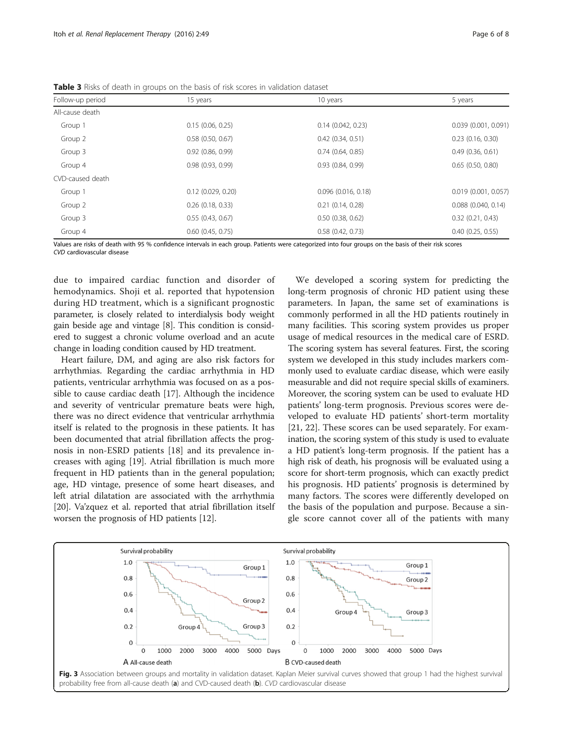| Follow-up period | 15 years              | 10 years              | 5 years                 |
|------------------|-----------------------|-----------------------|-------------------------|
| All-cause death  |                       |                       |                         |
| Group 1          | 0.15(0.06, 0.25)      | 0.14(0.042, 0.23)     | 0.039(0.001, 0.091)     |
| Group 2          | $0.58$ (0.50, 0.67)   | 0.42(0.34, 0.51)      | $0.23$ $(0.16, 0.30)$   |
| Group 3          | $0.92$ (0.86, 0.99)   | 0.74(0.64, 0.85)      | 0.49(0.36, 0.61)        |
| Group 4          | 0.98(0.93, 0.99)      | 0.93(0.84, 0.99)      | $0.65$ (0.50, 0.80)     |
| CVD-caused death |                       |                       |                         |
| Group 1          | 0.12(0.029, 0.20)     | 0.096(0.016, 0.18)    | 0.019(0.001, 0.057)     |
| Group 2          | $0.26$ (0.18, 0.33)   | 0.21(0.14, 0.28)      | $0.088$ $(0.040, 0.14)$ |
| Group 3          | 0.55(0.43, 0.67)      | $0.50$ $(0.38, 0.62)$ | 0.32(0.21, 0.43)        |
| Group 4          | $0.60$ $(0.45, 0.75)$ | 0.58(0.42, 0.73)      | $0.40$ $(0.25, 0.55)$   |

<span id="page-5-0"></span>Table 3 Risks of death in groups on the basis of risk scores in validation dataset

Values are risks of death with 95 % confidence intervals in each group. Patients were categorized into four groups on the basis of their risk scores

CVD cardiovascular disease

due to impaired cardiac function and disorder of hemodynamics. Shoji et al. reported that hypotension during HD treatment, which is a significant prognostic parameter, is closely related to interdialysis body weight gain beside age and vintage [\[8](#page-7-0)]. This condition is considered to suggest a chronic volume overload and an acute change in loading condition caused by HD treatment.

Heart failure, DM, and aging are also risk factors for arrhythmias. Regarding the cardiac arrhythmia in HD patients, ventricular arrhythmia was focused on as a possible to cause cardiac death [\[17\]](#page-7-0). Although the incidence and severity of ventricular premature beats were high, there was no direct evidence that ventricular arrhythmia itself is related to the prognosis in these patients. It has been documented that atrial fibrillation affects the prognosis in non-ESRD patients [[18\]](#page-7-0) and its prevalence increases with aging [[19\]](#page-7-0). Atrial fibrillation is much more frequent in HD patients than in the general population; age, HD vintage, presence of some heart diseases, and left atrial dilatation are associated with the arrhythmia [[20\]](#page-7-0). Va'zquez et al. reported that atrial fibrillation itself worsen the prognosis of HD patients [[12\]](#page-7-0).

We developed a scoring system for predicting the long-term prognosis of chronic HD patient using these parameters. In Japan, the same set of examinations is commonly performed in all the HD patients routinely in many facilities. This scoring system provides us proper usage of medical resources in the medical care of ESRD. The scoring system has several features. First, the scoring system we developed in this study includes markers commonly used to evaluate cardiac disease, which were easily measurable and did not require special skills of examiners. Moreover, the scoring system can be used to evaluate HD patients' long-term prognosis. Previous scores were developed to evaluate HD patients' short-term mortality [[21, 22](#page-7-0)]. These scores can be used separately. For examination, the scoring system of this study is used to evaluate a HD patient's long-term prognosis. If the patient has a high risk of death, his prognosis will be evaluated using a score for short-term prognosis, which can exactly predict his prognosis. HD patients' prognosis is determined by many factors. The scores were differently developed on the basis of the population and purpose. Because a single score cannot cover all of the patients with many



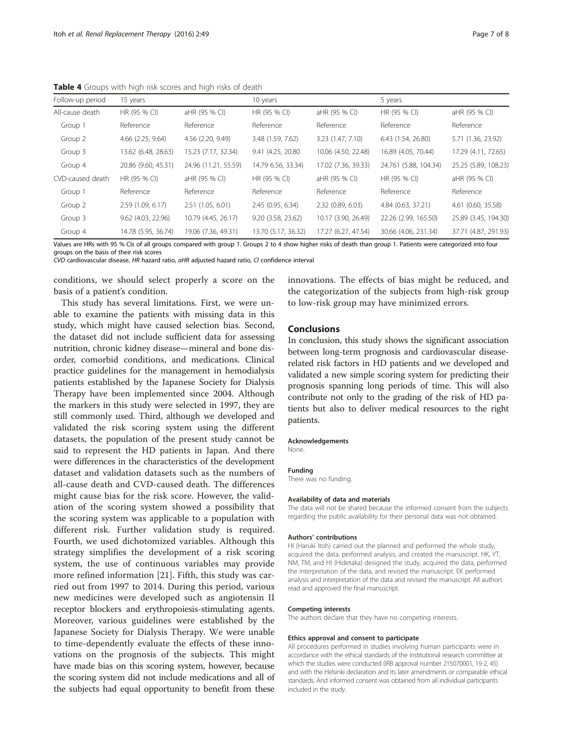<span id="page-6-0"></span>Table 4 Groups with high risk scores and high risks of death

| Follow-up period | 15 years            |                      | 10 years            |                     | 5 years               |                      |
|------------------|---------------------|----------------------|---------------------|---------------------|-----------------------|----------------------|
| All-cause death  | HR (95 % CI)        | aHR (95 % CI)        | HR (95 % CI)        | aHR (95 % CI)       | HR (95 % CI)          | aHR (95 % CI)        |
| Group 1          | Reference           | Reference            | Reference           | Reference           | Reference             | Reference            |
| Group 2          | 4.66 (2.25, 9.64)   | 4.56 (2.20, 9.49)    | 3.48 (1.59, 7.62)   | 3.23 (1.47, 7.10)   | 6.43(1.54, 26.80)     | 5.71 (1.36, 23.92)   |
| Group 3          | 13.62 (6.48, 28.63) | 15.23 (7.17, 32.34)  | 9.41 (4.25, 20.80)  | 10.06 (4.50, 22.48) | 16.89 (4.05, 70.44)   | 17.29 (4.11, 72.65)  |
| Group 4          | 20.86 (9.60, 45.31) | 24.96 (11.21, 55.59) | 14.79 6.56, 33.34)  | 17.02 (7.36, 39.33) | 24.761 (5.88, 104.34) | 25.25 (5.89, 108.23) |
| CVD-caused death | HR (95 % CI)        | aHR (95 % CI)        | HR (95 % CI)        | aHR (95 % CI)       | HR (95 % CI)          | aHR (95 % CI)        |
| Group 1          | Reference           | Reference            | Reference           | Reference           | Reference             | Reference            |
| Group 2          | 2.59 (1.09, 6.17)   | 2.51 (1.05, 6.01)    | 2.45 (0.95, 6.34)   | 2.32 (0.89, 6.03)   | 4.84 (0.63, 37.21)    | 4.61 (0.60, 35.58)   |
| Group 3          | 9.62 (4.03, 22.96)  | 10.79 (4.45, 26.17)  | 9.20 (3.58, 23.62)  | 10.17 (3.90, 26.49) | 22.26 (2.99, 165.50)  | 25.89 (3.45, 194.30) |
| Group 4          | 14.78 (5.95, 36.74) | 19.06 (7.36, 49.31)  | 13.70 (5.17, 36.32) | 17.27 (6.27, 47.54) | 30.66 (4.06, 231.34)  | 37.71 (4.87, 291.93) |
|                  |                     |                      |                     |                     |                       |                      |

Values are HRs with 95 % CIs of all groups compared with group 1. Groups 2 to 4 show higher risks of death than group 1. Patients were categorized into four

groups on the basis of their risk scores CVD cardiovascular disease, HR hazard ratio, aHR adjusted hazard ratio, CI confidence interval

conditions, we should select properly a score on the basis of a patient's condition.

This study has several limitations. First, we were unable to examine the patients with missing data in this study, which might have caused selection bias. Second, the dataset did not include sufficient data for assessing nutrition, chronic kidney disease—mineral and bone disorder, comorbid conditions, and medications. Clinical practice guidelines for the management in hemodialysis patients established by the Japanese Society for Dialysis Therapy have been implemented since 2004. Although the markers in this study were selected in 1997, they are still commonly used. Third, although we developed and validated the risk scoring system using the different datasets, the population of the present study cannot be said to represent the HD patients in Japan. And there were differences in the characteristics of the development dataset and validation datasets such as the numbers of all-cause death and CVD-caused death. The differences might cause bias for the risk score. However, the validation of the scoring system showed a possibility that the scoring system was applicable to a population with different risk. Further validation study is required. Fourth, we used dichotomized variables. Although this strategy simplifies the development of a risk scoring system, the use of continuous variables may provide more refined information [\[21](#page-7-0)]. Fifth, this study was carried out from 1997 to 2014. During this period, various new medicines were developed such as angiotensin II receptor blockers and erythropoiesis-stimulating agents. Moreover, various guidelines were established by the Japanese Society for Dialysis Therapy. We were unable to time-dependently evaluate the effects of these innovations on the prognosis of the subjects. This might have made bias on this scoring system, however, because the scoring system did not include medications and all of the subjects had equal opportunity to benefit from these

innovations. The effects of bias might be reduced, and the categorization of the subjects from high-risk group to low-risk group may have minimized errors.

#### Conclusions

In conclusion, this study shows the significant association between long-term prognosis and cardiovascular diseaserelated risk factors in HD patients and we developed and validated a new simple scoring system for predicting their prognosis spanning long periods of time. This will also contribute not only to the grading of the risk of HD patients but also to deliver medical resources to the right patients.

#### Acknowledgements

None.

#### Funding

There was no funding.

#### Availability of data and materials

The data will not be shared because the informed consent from the subjects regarding the public availability for their personal data was not obtained.

#### Authors' contributions

HI (Haruki Itoh) carried out the planned and performed the whole study, acquired the data, performed analysis, and created the manuscript. HK, YT, NM, TM, and HI (Hidetaka) designed the study, acquired the data, performed the interpretation of the data, and revised the manuscript. EK performed analysis and interpretation of the data and revised the manuscript. All authors read and approved the final manuscript.

#### Competing interests

The authors declare that they have no competing interests.

#### Ethics approval and consent to participate

All procedures performed in studies involving human participants were in accordance with the ethical standards of the institutional research committee at which the studies were conducted (IRB approval number 215070001, 19-2, 45) and with the Helsinki declaration and its later amendments or comparable ethical standards. And informed consent was obtained from all individual participants included in the study.